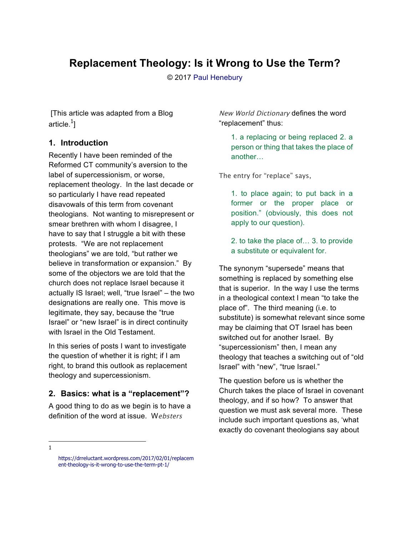# **Replacement Theology: Is it Wrong to Use the Term?**

© 2017 Paul Henebury

 [This article was adapted from a Blog article. $^1\!]$ 

#### **1. Introduction**

Recently I have been reminded of the Reformed CT community's aversion to the label of supercessionism, or worse, replacement theology. In the last decade or so particularly I have read repeated disavowals of this term from covenant theologians. Not wanting to misrepresent or smear brethren with whom I disagree, I have to say that I struggle a bit with these protests. "We are not replacement theologians" we are told, "but rather we believe in transformation or expansion." By some of the objectors we are told that the church does not replace Israel because it actually IS Israel; well, "true Israel" – the two designations are really one. This move is legitimate, they say, because the "true Israel" or "new Israel" is in direct continuity with Israel in the Old Testament.

In this series of posts I want to investigate the question of whether it is right; if I am right, to brand this outlook as replacement theology and supercessionism.

## **2. Basics: what is a "replacement"?**

A good thing to do as we begin is to have a definition of the word at issue. W*ebsters* 

*New World Dictionary* defines the word "replacement" thus:

1. a replacing or being replaced 2. a person or thing that takes the place of another…

*The entry for "replace" says,*

1. to place again; to put back in a former or the proper place or position." (obviously, this does not apply to our question).

2. to take the place of… 3. to provide a substitute or equivalent for.

The synonym "supersede" means that something is replaced by something else that is superior. In the way I use the terms in a theological context I mean "to take the place of". The third meaning (i.e. to substitute) is somewhat relevant since some may be claiming that OT Israel has been switched out for another Israel. By "supercessionism" then, I mean any theology that teaches a switching out of "old Israel" with "new", "true Israel."

The question before us is whether the Church takes the place of Israel in covenant theology, and if so how? To answer that question we must ask several more. These include such important questions as, 'what exactly do covenant theologians say about

https://drreluctant.wordpress.com/2017/02/01/replacem ent-theology-is-it-wrong-to-use-the-term-pt-1/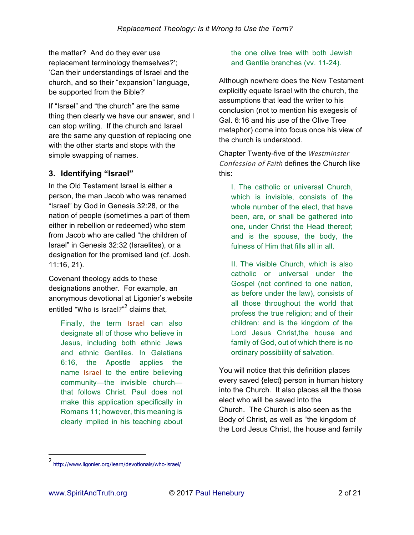the matter? And do they ever use replacement terminology themselves?'; 'Can their understandings of Israel and the church, and so their "expansion" language, be supported from the Bible?'

If "Israel" and "the church" are the same thing then clearly we have our answer, and I can stop writing. If the church and Israel are the same any question of replacing one with the other starts and stops with the simple swapping of names.

#### **3. Identifying "Israel"**

In the Old Testament Israel is either a person, the man Jacob who was renamed "Israel" by God in Genesis 32:28, or the nation of people (sometimes a part of them either in rebellion or redeemed) who stem from Jacob who are called "the children of Israel" in Genesis 32:32 (Israelites), or a designation for the promised land (cf. Josh. 11:16, 21).

Covenant theology adds to these designations another. For example, an anonymous devotional at Ligonier's website entitled *"Who is Israel?"*<sup>2</sup> claims that,

Finally, the term *Israel* can also designate all of those who believe in Jesus, including both ethnic Jews and ethnic Gentiles. In Galatians 6:16, the Apostle applies the name *Israel* to the entire believing community—the invisible church that follows Christ. Paul does not make this application specifically in Romans 11; however, this meaning is clearly implied in his teaching about the one olive tree with both Jewish and Gentile branches (vv. 11-24).

Although nowhere does the New Testament explicitly equate Israel with the church, the assumptions that lead the writer to his conclusion (not to mention his exegesis of Gal. 6:16 and his use of the Olive Tree metaphor) come into focus once his view of the church is understood.

Chapter Twenty-five of the *Westminster Confession of Faith* defines the Church like this:

I. The catholic or universal Church, which is invisible, consists of the whole number of the elect, that have been, are, or shall be gathered into one, under Christ the Head thereof; and is the spouse, the body, the fulness of Him that fills all in all.

II. The visible Church, which is also catholic or universal under the Gospel (not confined to one nation, as before under the law), consists of all those throughout the world that profess the true religion; and of their children: and is the kingdom of the Lord Jesus Christ,the house and family of God, out of which there is no ordinary possibility of salvation.

You will notice that this definition places every saved {elect} person in human history into the Church. It also places all the those elect who will be saved into the Church. The Church is also seen as the Body of Christ, as well as "the kingdom of the Lord Jesus Christ, the house and family

<sup>2</sup> http://www.ligonier.org/learn/devotionals/who-israel/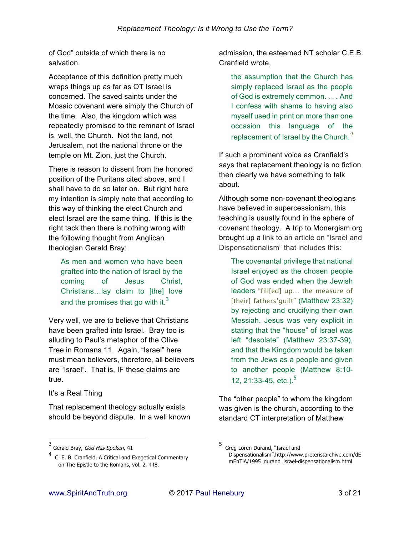of God" outside of which there is no salvation.

Acceptance of this definition pretty much wraps things up as far as OT Israel is concerned. The saved saints under the Mosaic covenant were simply the Church of the time. Also, the kingdom which was repeatedly promised to the remnant of Israel is, well, the Church. Not the land, not Jerusalem, not the national throne or the temple on Mt. Zion, just the Church.

There is reason to dissent from the honored position of the Puritans cited above, and I shall have to do so later on. But right here my intention is simply note that according to this way of thinking the elect Church and elect Israel are the same thing. If this is the right tack then there is nothing wrong with the following thought from Anglican theologian Gerald Bray:

As men and women who have been grafted into the nation of Israel by the coming of Jesus Christ, Christians…lay claim to [the] love and the promises that go with it.<sup>3</sup>

Very well, we are to believe that Christians have been grafted into Israel. Bray too is alluding to Paul's metaphor of the Olive Tree in Romans 11. Again, "Israel" here must mean believers, therefore, all believers are "Israel". That is, IF these claims are true.

It's a Real Thing

 $\overline{a}$ 

That replacement theology actually exists should be beyond dispute. In a well known admission, the esteemed NT scholar C.E.B. Cranfield wrote,

the assumption that the Church has simply replaced Israel as the people of God is extremely common. . . . And I confess with shame to having also myself used in print on more than one occasion this language of the replacement of Israel by the Church. $<sup>4</sup>$ </sup>

If such a prominent voice as Cranfield's says that replacement theology is no fiction then clearly we have something to talk about.

Although some non-covenant theologians have believed in supercessionism, this teaching is usually found in the sphere of covenant theology. A trip to Monergism.org brought up a link to an article on "Israel and Dispensationalism" that includes this:

The covenantal privilege that national Israel enjoyed as the chosen people of God was ended when the Jewish leaders "*fill[ed] up… the measure of [their] fathers'guilt*" (Matthew 23:32) by rejecting and crucifying their own Messiah. Jesus was very explicit in stating that the "house" of Israel was left "desolate" (Matthew 23:37-39), and that the Kingdom would be taken from the Jews as a people and given to another people (Matthew 8:10- 12, 21:33-45, etc.).<sup>5</sup>

The "other people" to whom the kingdom was given is the church, according to the standard CT interpretation of Matthew

<sup>3&</sup>lt;br>Gerald Bray, *God Has Spoken*, 41

 $4$  C. E. B. Cranfield, A Critical and Exegetical Commentary on The Epistle to the Romans, vol. 2, 448.

<sup>5</sup> Greg Loren Durand, "Israel and Dispensationalism",http://www.preteristarchive.com/dE mEnTiA/1995\_durand\_israel-dispensationalism.html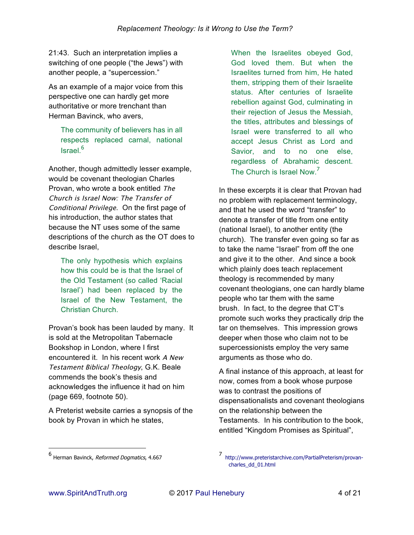21:43. Such an interpretation implies a switching of one people ("the Jews") with another people, a "supercession."

As an example of a major voice from this perspective one can hardly get more authoritative or more trenchant than Herman Bavinck, who avers,

The community of believers has in all respects replaced carnal, national Israel. 6

Another, though admittedly lesser example, would be covenant theologian Charles Provan, who wrote a book entitled *The Church is Israel Now: The Transfer of Conditional Privilege*. On the first page of his introduction, the author states that because the NT uses some of the same descriptions of the church as the OT does to describe Israel,

The only hypothesis which explains how this could be is that the Israel of the Old Testament (so called 'Racial Israel') had been replaced by the Israel of the New Testament, the Christian Church.

Provan's book has been lauded by many. It is sold at the Metropolitan Tabernacle Bookshop in London, where I first encountered it. In his recent work *A New Testament Biblical Theology*, G.K. Beale commends the book's thesis and acknowledges the influence it had on him (page 669, footnote 50).

A Preterist website carries a synopsis of the book by Provan in which he states,

When the Israelites obeyed God, God loved them. But when the Israelites turned from him, He hated them, stripping them of their Israelite status. After centuries of Israelite rebellion against God, culminating in their rejection of Jesus the Messiah, the titles, attributes and blessings of Israel were transferred to all who accept Jesus Christ as Lord and Savior, and to no one else, regardless of Abrahamic descent. The Church is Israel Now.<sup>7</sup>

In these excerpts it is clear that Provan had no problem with replacement terminology, and that he used the word "transfer" to denote a transfer of title from one entity (national Israel), to another entity (the church). The transfer even going so far as to take the name "Israel" from off the one and give it to the other. And since a book which plainly does teach replacement theology is recommended by many covenant theologians, one can hardly blame people who tar them with the same brush. In fact, to the degree that CT's promote such works they practically drip the tar on themselves. This impression grows deeper when those who claim not to be supercessionists employ the very same arguments as those who do.

A final instance of this approach, at least for now, comes from a book whose purpose was to contrast the positions of dispensationalists and covenant theologians on the relationship between the Testaments. In his contribution to the book, entitled "Kingdom Promises as Spiritual",

<sup>6&</sup>lt;br>Herman Bavinck, *Reformed Dogmatics*, 4.667

<sup>7</sup> http://www.preteristarchive.com/PartialPreterism/provancharles\_dd\_01.html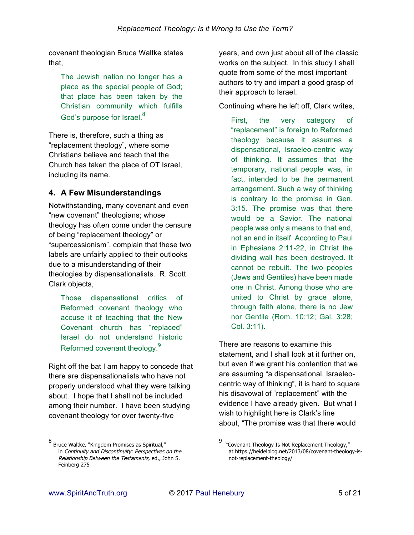covenant theologian Bruce Waltke states that,

The Jewish nation no longer has a place as the special people of God; that place has been taken by the Christian community which fulfills God's purpose for Israel. $^8$ 

There is, therefore, such a thing as "replacement theology", where some Christians believe and teach that the Church has taken the place of OT Israel, including its name.

## **4. A Few Misunderstandings**

Notwithstanding, many covenant and even "new covenant" theologians; whose theology has often come under the censure of being "replacement theology" or "supercessionism", complain that these two labels are unfairly applied to their outlooks due to a misunderstanding of their theologies by dispensationalists. R. Scott Clark objects,

Those dispensational critics of Reformed covenant theology who accuse it of teaching that the New Covenant church has "replaced" Israel do not understand historic Reformed covenant theology.<sup>9</sup>

Right off the bat I am happy to concede that there are dispensationalists who have not properly understood what they were talking about. I hope that I shall not be included among their number. I have been studying covenant theology for over twenty-five

8 Bruce Waltke, "Kingdom Promises as Spiritual," in Continuity and Discontinuity: Perspectives on the Relationship Between the Testaments, ed., John S. Feinberg 275

years, and own just about all of the classic works on the subject. In this study I shall quote from some of the most important authors to try and impart a good grasp of their approach to Israel.

Continuing where he left off, Clark writes,

First, the very category of "replacement" is foreign to Reformed theology because it assumes a dispensational, Israeleo-centric way of thinking. It assumes that the temporary, national people was, in fact, intended to be the permanent arrangement. Such a way of thinking is contrary to the promise in Gen. 3:15. The promise was that there would be a Savior. The national people was only a means to that end, not an end in itself. According to Paul in Ephesians 2:11-22, in Christ the dividing wall has been destroyed. It cannot be rebuilt. The two peoples (Jews and Gentiles) have been made one in Christ. Among those who are united to Christ by grace alone, through faith alone, there is no Jew nor Gentile (Rom. 10:12; Gal. 3:28; Col. 3:11).

There are reasons to examine this statement, and I shall look at it further on, but even if we grant his contention that we are assuming "a dispensational, Israeleocentric way of thinking", it is hard to square his disavowal of "replacement" with the evidence I have already given. But what I wish to highlight here is Clark's line about, "The promise was that there would

-

<sup>9</sup> "Covenant Theology Is Not Replacement Theology," at https://heidelblog.net/2013/08/covenant-theology-isnot-replacement-theology/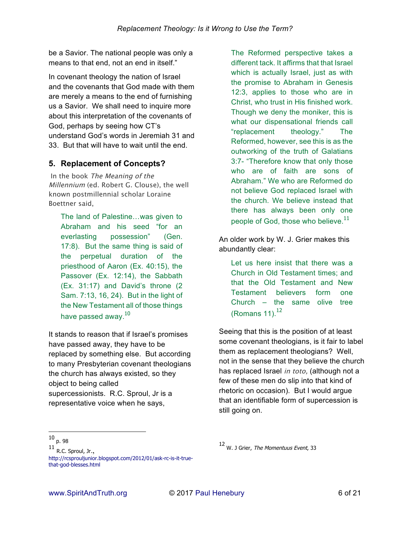be a Savior. The national people was only a means to that end, not an end in itself."

In covenant theology the nation of Israel and the covenants that God made with them are merely a means to the end of furnishing us a Savior. We shall need to inquire more about this interpretation of the covenants of God, perhaps by seeing how CT's understand God's words in Jeremiah 31 and 33. But that will have to wait until the end.

## **5. Replacement of Concepts?**

*In the book The Meaning of the Millennium (ed. Robert G. Clouse), the well known postmillennial scholar Loraine Boettner said,*

The land of Palestine…was given to Abraham and his seed "for an everlasting possession" (Gen. 17:8). But the same thing is said of the perpetual duration of the priesthood of Aaron (Ex. 40:15), the Passover (Ex. 12:14), the Sabbath (Ex. 31:17) and David's throne (2 Sam. 7:13, 16, 24). But in the light of the New Testament all of those things have passed away. $10<sup>10</sup>$ 

It stands to reason that if Israel's promises have passed away, they have to be replaced by something else. But according to many Presbyterian covenant theologians the church has always existed, so they object to being called supercessionists. R.C. Sproul, Jr is a representative voice when he says,

The Reformed perspective takes a different tack. It affirms that that Israel which is actually Israel, just as with the promise to Abraham in Genesis 12:3, applies to those who are in Christ, who trust in His finished work. Though we deny the moniker, this is what our dispensational friends call "replacement theology." The Reformed, however, see this is as the outworking of the truth of Galatians 3:7- "Therefore know that only those who are of faith are sons of Abraham." We who are Reformed do not believe God replaced Israel with the church. We believe instead that there has always been only one people of God, those who believe. $^{11}$ 

An older work by W. J. Grier makes this abundantly clear:

Let us here insist that there was a Church in Old Testament times; and that the Old Testament and New Testament believers form one Church – the same olive tree (Romans  $11$ ). $^{12}$ 

Seeing that this is the position of at least some covenant theologians, is it fair to label them as replacement theologians? Well, not in the sense that they believe the church has replaced Israel *in toto,* (although not a few of these men do slip into that kind of rhetoric on occasion). But I would argue that an identifiable form of supercession is still going on.

 <sup>10</sup> p. 98

 $^{11}$  R.C. Sproul, Jr., http://rcsprouljunior.blogspot.com/2012/01/ask-rc-is-it-truethat-god-blesses.html

<sup>12</sup> W. J Grier, The Momentuus Event, 33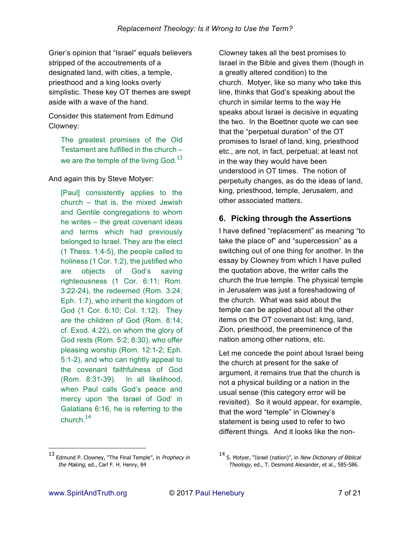Grier's opinion that "Israel" equals believers stripped of the accoutrements of a designated land, with cities, a temple, priesthood and a king looks overly simplistic. These key OT themes are swept aside with a wave of the hand.

Consider this statement from Edmund Clowney:

The greatest promises of the Old Testament are fulfilled in the church – we are the temple of the living God. $^{13}$ 

And again this by Steve Motyer:

[Paul] consistently applies to the church – that is, the mixed Jewish and Gentile congregations to whom he writes – the great covenant ideas and terms which had previously belonged to Israel. They are the elect (1 Thess. 1:4-5), the people called to holiness (1 Cor. 1:2), the justified who are objects of God's saving righteousness (1 Cor. 6:11; Rom. 3:22-24), the redeemed (Rom. 3:24; Eph. 1:7), who inherit the kingdom of God (1 Cor. 6:10; Col. 1:12). They are the children of God (Rom. 8:14; cf. Exod. 4:22), on whom the glory of God rests (Rom. 5:2; 8:30), who offer pleasing worship (Rom. 12:1-2; Eph. 5:1-2), and who can rightly appeal to the covenant faithfulness of God (Rom. 8:31-39). In all likelihood, when Paul calls God's peace and mercy upon 'the Israel of God' in Galatians 6:16, he is referring to the church $14$ 

Clowney takes all the best promises to Israel in the Bible and gives them (though in a greatly altered condition) to the church. Motyer, like so many who take this line, thinks that God's speaking about the church in similar terms to the way He speaks about Israel is decisive in equating the two. In the Boettner quote we can see that the "perpetual duration" of the OT promises to Israel of land, king, priesthood etc., are not, in fact, perpetual; at least not in the way they would have been understood in OT times. The notion of perpetuity changes, as do the ideas of land, king, priesthood, temple, Jerusalem, and other associated matters.

# **6. Picking through the Assertions**

I have defined "replacement" as meaning "to take the place of" and "supercession" as a switching out of one thing for another. In the essay by Clowney from which I have pulled the quotation above, the writer calls the church the true temple. The physical temple in Jerusalem was just a foreshadowing of the church. What was said about the temple can be applied about all the other items on the OT covenant list: king, land, Zion, priesthood, the preeminence of the nation among other nations, etc.

Let me concede the point about Israel being the church at present for the sake of argument, it remains true that the church is not a physical building or a nation in the usual sense (this category error will be revisited). So it would appear, for example, that the word "temple" in Clowney's statement is being used to refer to two different things. And it looks like the non-

<sup>13</sup> Edmund P. Clowney, "The Final Temple", in Prophecy in the Making, ed., Carl F. H. Henry, 84

<sup>14</sup> S. Motyer, "Israel (nation)", in New Dictionary of Biblical Theology, ed., T. Desmond Alexander, et al., 585-586.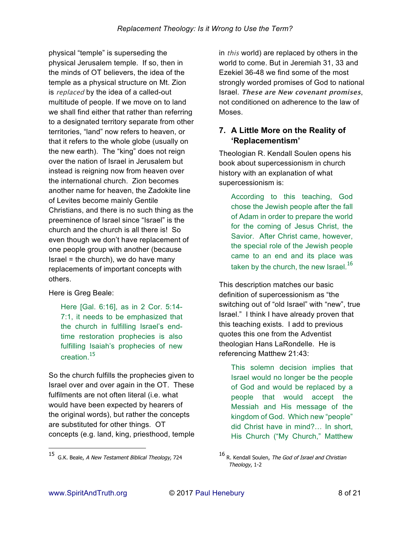physical "temple" is superseding the physical Jerusalem temple. If so, then in the minds of OT believers, the idea of the temple as a physical structure on Mt. Zion is *replaced* by the idea of a called-out multitude of people. If we move on to land we shall find either that rather than referring to a designated territory separate from other territories, "land" now refers to heaven, or that it refers to the whole globe (usually on the new earth). The "king" does not reign over the nation of Israel in Jerusalem but instead is reigning now from heaven over the international church. Zion becomes another name for heaven, the Zadokite line of Levites become mainly Gentile Christians, and there is no such thing as the preeminence of Israel since "Israel" is the church and the church is all there is! So even though we don't have replacement of one people group with another (because  $Israel = the church$ , we do have many replacements of important concepts with others.

Here is Greg Beale:

Here [Gal. 6:16], as in 2 Cor. 5:14- 7:1, it needs to be emphasized that the church in fulfilling Israel's endtime restoration prophecies is also fulfilling Isaiah's prophecies of new creation.<sup>15</sup>

So the church fulfills the prophecies given to Israel over and over again in the OT. These fulfilments are not often literal (i.e. what would have been expected by hearers of the original words), but rather the concepts are substituted for other things. OT concepts (e.g. land, king, priesthood, temple

in *this* world) are replaced by others in the world to come. But in Jeremiah 31, 33 and Ezekiel 36-48 we find some of the most strongly worded promises of God to national Israel. **These are New covenant promises**, not conditioned on adherence to the law of Moses.

# **7. A Little More on the Reality of 'Replacementism'**

Theologian R. Kendall Soulen opens his book about supercessionism in church history with an explanation of what supercessionism is:

According to this teaching, God chose the Jewish people after the fall of Adam in order to prepare the world for the coming of Jesus Christ, the Savior. After Christ came, however, the special role of the Jewish people came to an end and its place was taken by the church, the new Israel.<sup>16</sup>

This description matches our basic definition of supercessionism as "the switching out of "old Israel" with "new", true Israel." I think I have already proven that this teaching exists. I add to previous quotes this one from the Adventist theologian Hans LaRondelle. He is referencing Matthew 21:43:

This solemn decision implies that Israel would no longer be the people of God and would be replaced by a people that would accept the Messiah and His message of the kingdom of God. Which new "people" did Christ have in mind?… In short, His Church ("My Church," Matthew

<sup>15</sup> G.K. Beale, A New Testament Biblical Theology, 724

<sup>16</sup> R. Kendall Soulen, The God of Israel and Christian Theology, 1-2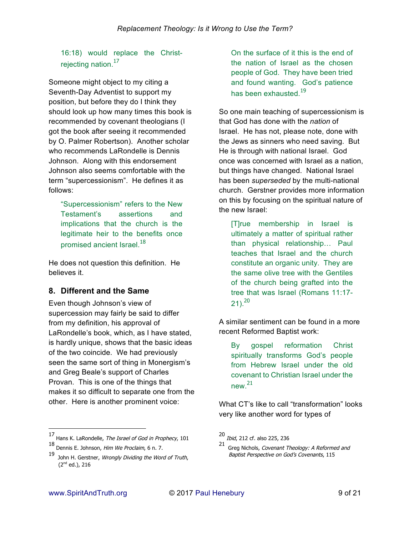16:18) would replace the Christrejecting nation.<sup>17</sup>

Someone might object to my citing a Seventh-Day Adventist to support my position, but before they do I think they should look up how many times this book is recommended by covenant theologians (I got the book after seeing it recommended by O. Palmer Robertson). Another scholar who recommends LaRondelle is Dennis Johnson. Along with this endorsement Johnson also seems comfortable with the term "supercessionism". He defines it as follows:

"Supercessionism" refers to the New Testament's assertions and implications that the church is the legitimate heir to the benefits once promised ancient Israel<sup>18</sup>

He does not question this definition. He believes it.

## **8. Different and the Same**

Even though Johnson's view of supercession may fairly be said to differ from my definition, his approval of LaRondelle's book, which, as I have stated, is hardly unique, shows that the basic ideas of the two coincide. We had previously seen the same sort of thing in Monergism's and Greg Beale's support of Charles Provan. This is one of the things that makes it so difficult to separate one from the other. Here is another prominent voice:

17 Hans K. LaRondelle, The Israel of God in Prophecy, 101

On the surface of it this is the end of the nation of Israel as the chosen people of God. They have been tried and found wanting. God's patience has been exhausted.<sup>19</sup>

So one main teaching of supercessionism is that God has done with the *nation* of Israel. He has not, please note, done with the Jews as sinners who need saving. But He is through with national Israel. God once was concerned with Israel as a nation, but things have changed. National Israel has been *superseded* by the multi-national church. Gerstner provides more information on this by focusing on the spiritual nature of the new Israel:

[T]rue membership in Israel is ultimately a matter of spiritual rather than physical relationship… Paul teaches that Israel and the church constitute an organic unity. They are the same olive tree with the Gentiles of the church being grafted into the tree that was Israel (Romans 11:17-  $21$ .  $20$ 

A similar sentiment can be found in a more recent Reformed Baptist work:

By gospel reformation Christ spiritually transforms God's people from Hebrew Israel under the old covenant to Christian Israel under the new.<sup>21</sup>

What CT's like to call "transformation" looks very like another word for types of

<sup>18</sup> Dennis E. Johnson, Him We Proclaim, 6 n. 7.

<sup>19</sup> John H. Gerstner, Wrongly Dividing the Word of Truth, (2nd ed.), 216

<sup>20</sup> Ibid, 212 cf. also 225, 236

<sup>21</sup> Greg Nichols, *Covenant Theology: A Reformed and* Baptist Perspective on God's Covenants, 115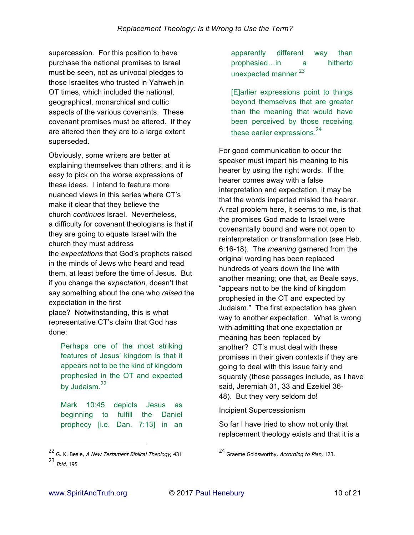supercession. For this position to have purchase the national promises to Israel must be seen, not as univocal pledges to those Israelites who trusted in Yahweh in OT times, which included the national, geographical, monarchical and cultic aspects of the various covenants. These covenant promises must be altered. If they are altered then they are to a large extent superseded.

Obviously, some writers are better at explaining themselves than others, and it is easy to pick on the worse expressions of these ideas. I intend to feature more nuanced views in this series where CT's make it clear that they believe the church *continues* Israel. Nevertheless, a difficulty for covenant theologians is that if they are going to equate Israel with the church they must address the *expectations* that God's prophets raised in the minds of Jews who heard and read them, at least before the time of Jesus. But if you change the *expectation,* doesn't that say something about the one who *raised* the expectation in the first place? Notwithstanding, this is what representative CT's claim that God has done:

Perhaps one of the most striking features of Jesus' kingdom is that it appears not to be the kind of kingdom prophesied in the OT and expected by Judaism.<sup>22</sup>

Mark 10:45 depicts Jesus as beginning to fulfill the Daniel prophecy [i.e. Dan. 7:13] in an

apparently different way than prophesied…in a hitherto unexpected manner.<sup>23</sup>

[E]arlier expressions point to things beyond themselves that are greater than the meaning that would have been perceived by those receiving these earlier expressions.<sup>24</sup>

For good communication to occur the speaker must impart his meaning to his hearer by using the right words. If the hearer comes away with a false interpretation and expectation, it may be that the words imparted misled the hearer. A real problem here, it seems to me, is that the promises God made to Israel were covenantally bound and were not open to reinterpretation or transformation (see Heb. 6:16-18). The *meaning* garnered from the original wording has been replaced hundreds of years down the line with another meaning; one that, as Beale says, "appears not to be the kind of kingdom prophesied in the OT and expected by Judaism." The first expectation has given way to another expectation. What is wrong with admitting that one expectation or meaning has been replaced by another? CT's must deal with these promises in their given contexts if they are going to deal with this issue fairly and squarely (these passages include, as I have said, Jeremiah 31, 33 and Ezekiel 36- 48). But they very seldom do!

Incipient Supercessionism

So far I have tried to show not only that replacement theology exists and that it is a

<sup>22</sup> G. K. Beale, *A New Testament Biblical Theology*, 431 <sup>23</sup> Ibid, 195

<sup>24</sup> Graeme Goldsworthy, According to Plan, 123.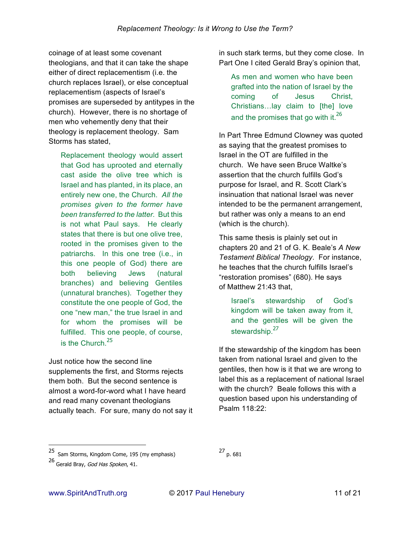coinage of at least some covenant theologians, and that it can take the shape either of direct replacementism (i.e. the church replaces Israel), or else conceptual replacementism (aspects of Israel's promises are superseded by antitypes in the church). However, there is no shortage of men who vehemently deny that their theology is replacement theology. Sam Storms has stated,

Replacement theology would assert that God has uprooted and eternally cast aside the olive tree which is Israel and has planted, in its place, an entirely new one, the Church. *All the promises given to the former have been transferred to the latter.* But this is not what Paul says. He clearly states that there is but one olive tree, rooted in the promises given to the patriarchs. In this one tree (i.e., in this one people of God) there are both believing Jews (natural branches) and believing Gentiles (unnatural branches). Together they constitute the one people of God, the one "new man," the true Israel in and for whom the promises will be fulfilled. This one people, of course, is the Church  $25$ 

Just notice how the second line supplements the first, and Storms rejects them both. But the second sentence is almost a word-for-word what I have heard and read many covenant theologians actually teach. For sure, many do not say it in such stark terms, but they come close. In Part One I cited Gerald Bray's opinion that,

As men and women who have been grafted into the nation of Israel by the coming of Jesus Christ, Christians…lay claim to [the] love and the promises that go with it. $^{26}$ 

In Part Three Edmund Clowney was quoted as saying that the greatest promises to Israel in the OT are fulfilled in the church. We have seen Bruce Waltke's assertion that the church fulfills God's purpose for Israel, and R. Scott Clark's insinuation that national Israel was never intended to be the permanent arrangement, but rather was only a means to an end (which is the church).

This same thesis is plainly set out in chapters 20 and 21 of G. K. Beale's *A New Testament Biblical Theology*. For instance, he teaches that the church fulfills Israel's "restoration promises" (680). He says of Matthew 21:43 that,

Israel's stewardship of God's kingdom will be taken away from it, and the gentiles will be given the stewardship.<sup>27</sup>

If the stewardship of the kingdom has been taken from national Israel and given to the gentiles, then how is it that we are wrong to label this as a replacement of national Israel with the church? Beale follows this with a question based upon his understanding of Psalm 118:22:

-

<sup>25</sup> Sam Storms, Kingdom Come, 195 (my emphasis)

<sup>27</sup> p. 681

<sup>26</sup> Gerald Bray, God Has Spoken, 41.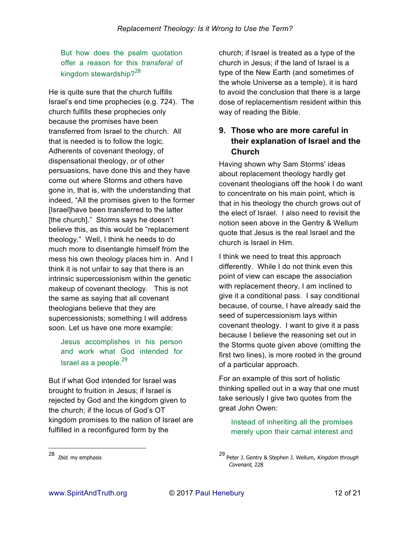But how does the psalm quotation offer a reason for this *transferal* of kingdom stewardship? $28$ 

He is quite sure that the church fulfills Israel's end time prophecies (e.g. 724). The church fulfills these prophecies only because the promises have been transferred from Israel to the church. All that is needed is to follow the logic. Adherents of covenant theology, of dispensational theology, or of other persuasions, have done this and they have come out where Storms and others have gone in, that is, with the understanding that indeed, "All the promises given to the former [Israel]have been transferred to the latter [the church]." Storms says he doesn't believe this, as this would be "replacement theology." Well, I think he needs to do much more to disentangle himself from the mess his own theology places him in. And I think it is not unfair to say that there is an intrinsic supercessionism within the genetic makeup of covenant theology. This is not the same as saying that all covenant theologians believe that they are supercessionists; something I will address soon. Let us have one more example:

Jesus accomplishes in his person and work what God intended for Israel as a people. $^{29}$ 

But if what God intended for Israel was brought to fruition in Jesus; if Israel is rejected by God and the kingdom given to the church; if the locus of God's OT kingdom promises to the nation of Israel are fulfilled in a reconfigured form by the

church; if Israel is treated as a type of the church in Jesus; if the land of Israel is a type of the New Earth (and sometimes of the whole Universe as a temple), it is hard to avoid the conclusion that there is a large dose of replacementism resident within this way of reading the Bible.

# **9. Those who are more careful in their explanation of Israel and the Church**

Having shown why Sam Storms' ideas about replacement theology hardly get covenant theologians off the hook I do want to concentrate on his main point, which is that in his theology the church grows out of the elect of Israel. I also need to revisit the notion seen above in the Gentry & Wellum quote that Jesus is the real Israel and the church is Israel in Him.

I think we need to treat this approach differently. While I do not think even this point of view can escape the association with replacement theory, I am inclined to give it a conditional pass. I say conditional because, of course, I have already said the seed of supercessionism lays within covenant theology. I want to give it a pass because I believe the reasoning set out in the Storms quote given above (omitting the first two lines), is more rooted in the ground of a particular approach.

For an example of this sort of holistic thinking spelled out in a way that one must take seriously I give two quotes from the great John Owen:

Instead of inheriting all the promises merely upon their carnal interest and

<sup>28</sup> *Ibid*. my emphasis

 $29$  Peter J. Gentry & Stephen J. Wellum, Kingdom through Covenant, 228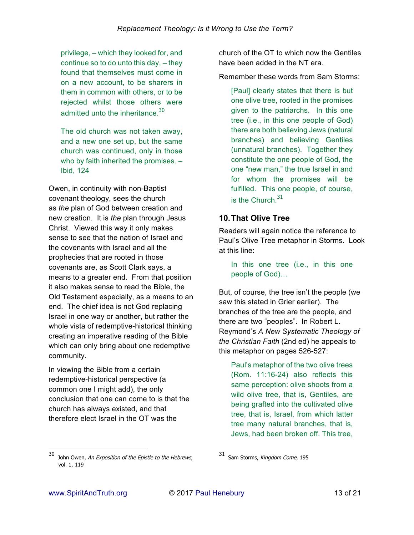privilege, – which they looked for, and continue so to do unto this day, – they found that themselves must come in on a new account, to be sharers in them in common with others, or to be rejected whilst those others were admitted unto the inheritance 30

The old church was not taken away, and a new one set up, but the same church was continued, only in those who by faith inherited the promises. – Ibid, 124

Owen, in continuity with non-Baptist covenant theology, sees the church as *the* plan of God between creation and new creation. It is *the* plan through Jesus Christ. Viewed this way it only makes sense to see that the nation of Israel and the covenants with Israel and all the prophecies that are rooted in those covenants are, as Scott Clark says, a means to a greater end. From that position it also makes sense to read the Bible, the Old Testament especially, as a means to an end. The chief idea is not God replacing Israel in one way or another, but rather the whole vista of redemptive-historical thinking creating an imperative reading of the Bible which can only bring about one redemptive community.

In viewing the Bible from a certain redemptive-historical perspective (a common one I might add), the only conclusion that one can come to is that the church has always existed, and that therefore elect Israel in the OT was the

church of the OT to which now the Gentiles have been added in the NT era.

Remember these words from Sam Storms:

[Paul] clearly states that there is but one olive tree, rooted in the promises given to the patriarchs. In this one tree (i.e., in this one people of God) there are both believing Jews (natural branches) and believing Gentiles (unnatural branches). Together they constitute the one people of God, the one "new man," the true Israel in and for whom the promises will be fulfilled. This one people, of course, is the Church  $31$ 

## **10. That Olive Tree**

Readers will again notice the reference to Paul's Olive Tree metaphor in Storms. Look at this line:

In this one tree (i.e., in this one people of God)…

But, of course, the tree isn't the people (we saw this stated in Grier earlier). The branches of the tree are the people, and there are two "peoples". In Robert L. Reymond's *A New Systematic Theology of the Christian Faith* (2nd ed) he appeals to this metaphor on pages 526-527:

Paul's metaphor of the two olive trees (Rom. 11:16-24) also reflects this same perception: olive shoots from a wild olive tree, that is, Gentiles, are being grafted into the cultivated olive tree, that is, Israel, from which latter tree many natural branches, that is, Jews, had been broken off. This tree,

<sup>30</sup> John Owen, An Exposition of the Epistle to the Hebrews, vol. 1, 119

<sup>31</sup> Sam Storms, Kingdom Come, 195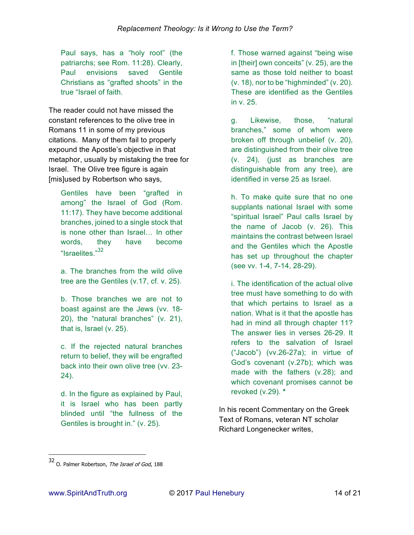Paul says, has a "holy root" (the patriarchs; see Rom. 11:28). Clearly, Paul envisions saved Gentile Christians as "grafted shoots" in the true "Israel of faith.

The reader could not have missed the constant references to the olive tree in Romans 11 in some of my previous citations. Many of them fail to properly expound the Apostle's objective in that metaphor, usually by mistaking the tree for Israel. The Olive tree figure is again [mis]used by Robertson who says,

Gentiles have been "grafted in among" the Israel of God (Rom. 11:17). They have become additional branches, joined to a single stock that is none other than Israel… In other words, they have become "Israelites."<sup>32</sup>

a. The branches from the wild olive tree are the Gentiles (v.17, cf. v. 25).

b. Those branches we are not to boast against are the Jews (vv. 18- 20), the "natural branches" (v. 21), that is, Israel (v. 25).

c. If the rejected natural branches return to belief, they will be engrafted back into their own olive tree (vv. 23- 24).

d. In the figure as explained by Paul, it is Israel who has been partly blinded until "the fullness of the Gentiles is brought in." (v. 25).

f. Those warned against "being wise in [their] own conceits" (v. 25), are the same as those told neither to boast (v. 18), nor to be "highminded" (v. 20). These are identified as the Gentiles in v. 25.

g. Likewise, those, "natural branches," some of whom were broken off through unbelief (v. 20), are distinguished from their olive tree (v. 24), (just as branches are distinguishable from any tree), are identified in verse 25 as Israel.

h. To make quite sure that no one supplants national Israel with some "spiritual Israel" Paul calls Israel by the name of Jacob (v. 26). This maintains the contrast between Israel and the Gentiles which the Apostle has set up throughout the chapter (see vv. 1-4, 7-14, 28-29).

i. The identification of the actual olive tree must have something to do with that which pertains to Israel as a nation. What is it that the apostle has had in mind all through chapter 11? The answer lies in verses 26-29. It refers to the salvation of Israel ("Jacob") (vv.26-27a); in virtue of God's covenant (v.27b); which was made with the fathers (v.28); and which covenant promises cannot be revoked (v.29). **\***

In his recent Commentary on the Greek Text of Romans, veteran NT scholar Richard Longenecker writes,

<sup>32</sup> O. Palmer Robertson, The Israel of God, 188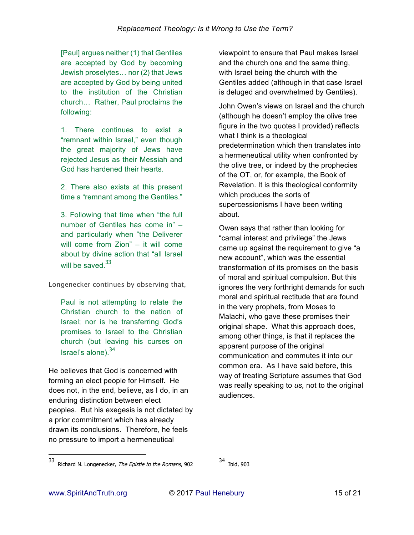[Paul] argues neither (1) that Gentiles are accepted by God by becoming Jewish proselytes… nor (2) that Jews are accepted by God by being united to the institution of the Christian church… Rather, Paul proclaims the following:

1. There continues to exist a "remnant within Israel," even though the great majority of Jews have rejected Jesus as their Messiah and God has hardened their hearts.

2. There also exists at this present time a "remnant among the Gentiles."

3. Following that time when "the full number of Gentiles has come in" – and particularly when "the Deliverer will come from Zion" – it will come about by divine action that "all Israel will be saved. $33$ 

*Longenecker continues by observing that,*

Paul is not attempting to relate the Christian church to the nation of Israel; nor is he transferring God's promises to Israel to the Christian church (but leaving his curses on Israel's alone). $34$ 

He believes that God is concerned with forming an elect people for Himself. He does not, in the end, believe, as I do, in an enduring distinction between elect peoples. But his exegesis is not dictated by a prior commitment which has already drawn its conclusions. Therefore, he feels no pressure to import a hermeneutical

viewpoint to ensure that Paul makes Israel and the church one and the same thing, with Israel being the church with the Gentiles added (although in that case Israel is deluged and overwhelmed by Gentiles).

John Owen's views on Israel and the church (although he doesn't employ the olive tree figure in the two quotes I provided) reflects what I think is a theological predetermination which then translates into a hermeneutical utility when confronted by the olive tree, or indeed by the prophecies of the OT, or, for example, the Book of Revelation. It is this theological conformity which produces the sorts of supercessionisms I have been writing about.

Owen says that rather than looking for "carnal interest and privilege" the Jews came up against the requirement to give "a new account", which was the essential transformation of its promises on the basis of moral and spiritual compulsion. But this ignores the very forthright demands for such moral and spiritual rectitude that are found in the very prophets, from Moses to Malachi, who gave these promises their original shape. What this approach does, among other things, is that it replaces the apparent purpose of the original communication and commutes it into our common era. As I have said before, this way of treating Scripture assumes that God was really speaking to *us,* not to the original audiences.

34 Ibid, 903

-

<sup>33</sup> Richard N. Longenecker, *The Epistle to the Romans*, 902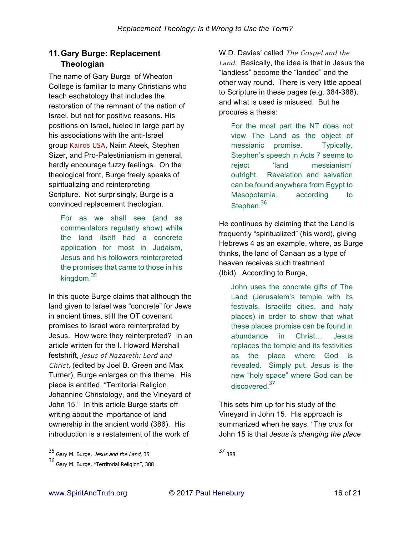# **11. Gary Burge: Replacement Theologian**

The name of Gary Burge of Wheaton College is familiar to many Christians who teach eschatology that includes the restoration of the remnant of the nation of Israel, but not for positive reasons. His positions on Israel, fueled in large part by his associations with the anti-Israel group *Kairos USA*, Naim Ateek, Stephen Sizer, and Pro-Palestinianism in general, hardly encourage fuzzy feelings. On the theological front, Burge freely speaks of spiritualizing and reinterpreting Scripture. Not surprisingly, Burge is a convinced replacement theologian.

For as we shall see (and as commentators regularly show) while the land itself had a concrete application for most in Judaism, Jesus and his followers reinterpreted the promises that came to those in his kingdom.<sup>35</sup>

In this quote Burge claims that although the land given to Israel was "concrete" for Jews in ancient times, still the OT covenant promises to Israel were reinterpreted by Jesus. How were they reinterpreted? In an article written for the I. Howard Marshall festshrift, *Jesus of Nazareth: Lord and Christ*, (edited by Joel B. Green and Max Turner), Burge enlarges on this theme. His piece is entitled, "Territorial Religion, Johannine Christology, and the Vineyard of John 15." In this article Burge starts off writing about the importance of land ownership in the ancient world (386). His introduction is a restatement of the work of

W.D. Davies' called *The Gospel and the Land*. Basically, the idea is that in Jesus the "landless" become the "landed" and the other way round. There is very little appeal to Scripture in these pages (e.g. 384-388), and what is used is misused. But he procures a thesis:

For the most part the NT does not view The Land as the object of messianic promise. Typically, Stephen's speech in Acts 7 seems to reject 'land messianism' outright. Revelation and salvation can be found anywhere from Egypt to Mesopotamia, according to Stephen.<sup>36</sup>

He continues by claiming that the Land is frequently "spiritualized" (his word), giving Hebrews 4 as an example, where, as Burge thinks, the land of Canaan as a type of heaven receives such treatment (Ibid). According to Burge,

John uses the concrete gifts of The Land (Jerusalem's temple with its festivals, Israelite cities, and holy places) in order to show that what these places promise can be found in abundance in Christ… Jesus replaces the temple and its festivities as the place where God is revealed. Simply put, Jesus is the new "holy space" where God can be discovered<sup>37</sup>

This sets him up for his study of the Vineyard in John 15. His approach is summarized when he says, "The crux for John 15 is that *Jesus is changing the place* 

-

<sup>37</sup> <sup>388</sup>

<sup>35&</sup>lt;br>Gary M. Burge, *Jesus and the Land*, 35

<sup>36</sup> Gary M. Burge, "Territorial Religion", 388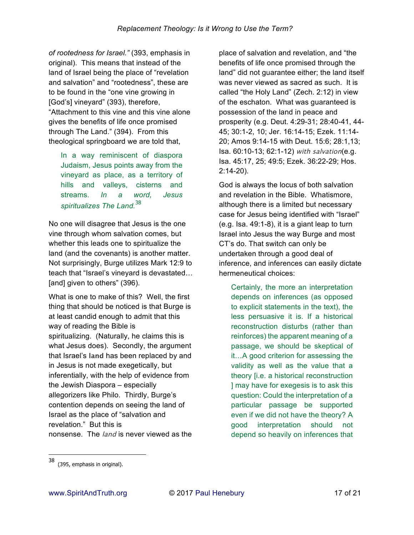*of rootedness for Israel."* (393, emphasis in original). This means that instead of the land of Israel being the place of "revelation and salvation" and "rootedness", these are to be found in the "one vine growing in [God's] vineyard" (393), therefore, "Attachment to this vine and this vine alone gives the benefits of life once promised through The Land." (394). From this theological springboard we are told that,

In a way reminiscent of diaspora Judaism, Jesus points away from the vineyard as place, as a territory of hills and valleys, cisterns and streams. *In a word, Jesus spiritualizes The Land.*<sup>38</sup>

No one will disagree that Jesus is the one vine through whom salvation comes, but whether this leads one to spiritualize the land (and the covenants) is another matter. Not surprisingly, Burge utilizes Mark 12:9 to teach that "Israel's vineyard is devastated… [and] given to others" (396).

What is one to make of this? Well, the first thing that should be noticed is that Burge is at least candid enough to admit that this way of reading the Bible is spiritualizing. (Naturally, he claims this is what Jesus does). Secondly, the argument that Israel's **land** has been replaced by and in Jesus is not made exegetically, but inferentially, with the help of evidence from the Jewish Diaspora – especially allegorizers like Philo. Thirdly, Burge's contention depends on seeing the land of Israel as the place of "salvation and revelation." But this is nonsense. The *land* is never viewed as the

place of salvation and revelation, and "the benefits of life once promised through the land" did not guarantee either; the land itself was never viewed as sacred as such. It is called "the Holy Land" (Zech. 2:12) in view of the eschaton. What was guaranteed is possession of the land in peace and prosperity (e.g. Deut. 4:29-31; 28:40-41, 44- 45; 30:1-2, 10; Jer. 16:14-15; Ezek. 11:14- 20; Amos 9:14-15 with Deut. 15:6; 28:1,13; Isa. 60:10-13; 62:1-12) *with salvation*(e.g. Isa. 45:17, 25; 49:5; Ezek. 36:22-29; Hos. 2:14-20).

God is always the locus of both salvation and revelation in the Bible. Whatismore, although there is a limited but necessary case for Jesus being identified with "Israel" (e.g. Isa. 49:1-8), it is a giant leap to turn Israel into Jesus the way Burge and most CT's do. That switch can only be undertaken through a good deal of inference, and inferences can easily dictate hermeneutical choices:

Certainly, the more an interpretation depends on inferences (as opposed to explicit statements in the text), the less persuasive it is. If a historical reconstruction disturbs (rather than reinforces) the apparent meaning of a passage, we should be skeptical of it…A good criterion for assessing the validity as well as the value that a theory [i.e. a historical reconstruction ] may have for exegesis is to ask this question: Could the interpretation of a particular passage be supported even if we did not have the theory? A good interpretation should not depend so heavily on inferences that

<sup>38</sup> (395, emphasis in original).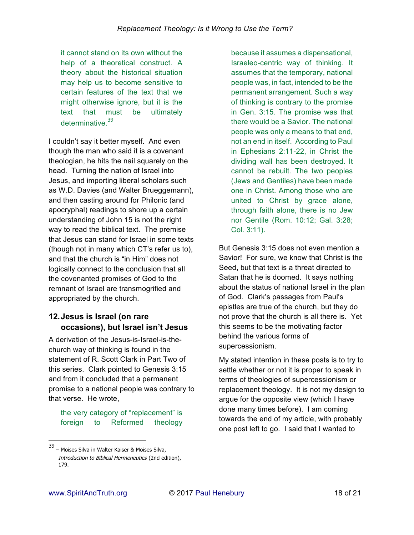it cannot stand on its own without the help of a theoretical construct. A theory about the historical situation may help us to become sensitive to certain features of the text that we might otherwise ignore, but it is the text that must be ultimately determinative.<sup>39</sup>

I couldn't say it better myself. And even though the man who said it is a covenant theologian, he hits the nail squarely on the head. Turning the nation of Israel into Jesus, and importing liberal scholars such as W.D. Davies (and Walter Brueggemann), and then casting around for Philonic (and apocryphal) readings to shore up a certain understanding of John 15 is not the right way to read the biblical text. The premise that Jesus can stand for Israel in some texts (though not in many which CT's refer us to), and that the church is "in Him" does not logically connect to the conclusion that all the covenanted promises of God to the remnant of Israel are transmogrified and appropriated by the church.

# **12. Jesus is Israel (on rare occasions), but Israel isn't Jesus**

A derivation of the Jesus-is-Israel-is-thechurch way of thinking is found in the statement of R. Scott Clark in Part Two of this series. Clark pointed to Genesis 3:15 and from it concluded that a permanent promise to a national people was contrary to that verse. He wrote,

the very category of "replacement" is foreign to Reformed theology

because it assumes a dispensational, Israeleo-centric way of thinking. It assumes that the temporary, national people was, in fact, intended to be the permanent arrangement. Such a way of thinking is contrary to the promise in Gen. 3:15. The promise was that there would be a Savior. The national people was only a means to that end, not an end in itself. According to Paul in Ephesians 2:11-22, in Christ the dividing wall has been destroyed. It cannot be rebuilt. The two peoples (Jews and Gentiles) have been made one in Christ. Among those who are united to Christ by grace alone, through faith alone, there is no Jew nor Gentile (Rom. 10:12; Gal. 3:28; Col. 3:11).

But Genesis 3:15 does not even mention a Savior! For sure, we know that Christ is the Seed, but that text is a threat directed to Satan that he is doomed. It says nothing about the status of national Israel in the plan of God. Clark's passages from Paul's epistles are true of the church, but they do not prove that the church is all there is. Yet this seems to be the motivating factor behind the various forms of supercessionism.

My stated intention in these posts is to try to settle whether or not it is proper to speak in terms of theologies of supercessionism or replacement theology. It is not my design to argue for the opposite view (which I have done many times before). I am coming towards the end of my article, with probably one post left to go. I said that I wanted to

39<br>— Moises Silva in Walter Kaiser & Moises Silva,

Introduction to Biblical Hermeneutics (2nd edition), 179.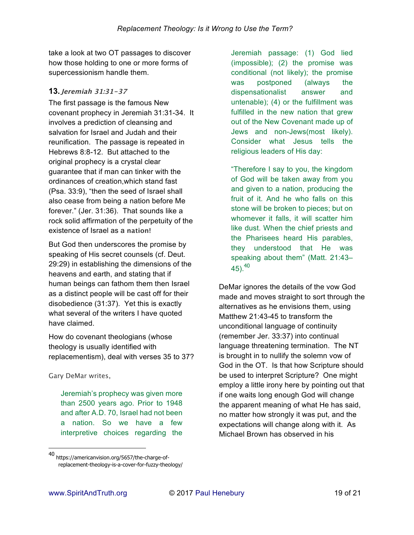take a look at two OT passages to discover how those holding to one or more forms of supercessionism handle them.

## **13. Jeremiah 31:31-37**

The first passage is the famous New covenant prophecy in Jeremiah 31:31-34. It involves a prediction of cleansing and salvation for Israel and Judah and their reunification. The passage is repeated in Hebrews 8:8-12. But attached to the original prophecy is a crystal clear guarantee that if man can tinker with the ordinances of creation,which stand fast (Psa. 33:9), "then the seed of Israel shall also cease from being a nation before Me forever." (Jer. 31:36). That sounds like a rock solid affirmation of the perpetuity of the existence of Israel as a **nation!** 

But God then underscores the promise by speaking of His secret counsels (cf. Deut. 29:29) in establishing the dimensions of the heavens and earth, and stating that if human beings can fathom them then Israel as a distinct people will be cast off for their disobedience (31:37). Yet this is exactly what several of the writers I have quoted have claimed.

How do covenant theologians (whose theology is usually identified with replacementism), deal with verses 35 to 37?

*Gary DeMar writes,*

 $\overline{a}$ 

Jeremiah's prophecy was given more than 2500 years ago. Prior to 1948 and after A.D. 70, Israel had not been a nation. So we have a few interpretive choices regarding the

Jeremiah passage: (1) God lied (impossible); (2) the promise was conditional (not likely); the promise was postponed (always the dispensationalist answer and untenable); (4) or the fulfillment was fulfilled in the new nation that grew out of the New Covenant made up of Jews and non-Jews(most likely). Consider what Jesus tells the religious leaders of His day:

"Therefore I say to you, the kingdom of God will be taken away from you and given to a nation, producing the fruit of it. And he who falls on this stone will be broken to pieces; but on whomever it falls, it will scatter him like dust. When the chief priests and the Pharisees heard His parables, they understood that He was speaking about them" (Matt. 21:43– 45).<sup>40</sup>

DeMar ignores the details of the vow God made and moves straight to sort through the alternatives as he envisions them, using Matthew 21:43-45 to transform the unconditional language of continuity (remember Jer. 33:37) into continual language threatening termination. The NT is brought in to nullify the solemn vow of God in the OT. Is that how Scripture should be used to interpret Scripture? One might employ a little irony here by pointing out that if one waits long enough God will change the apparent meaning of what He has said, no matter how strongly it was put, and the expectations will change along with it. As Michael Brown has observed in his

<sup>40</sup> https://americanvision.org/5657/the-charge-ofreplacement-theology-is-a-cover-for-fuzzy-theology/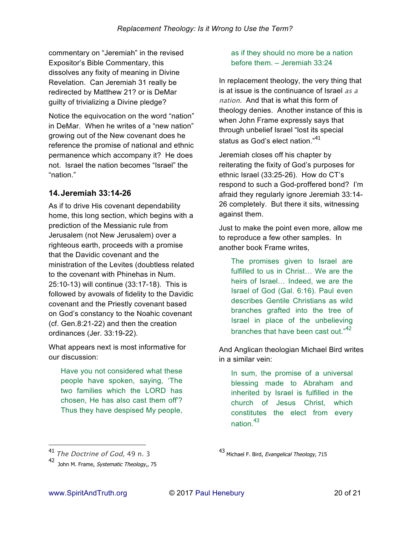commentary on "Jeremiah" in the revised Expositor's Bible Commentary, this dissolves any fixity of meaning in Divine Revelation. Can Jeremiah 31 really be redirected by Matthew 21? or is DeMar guilty of trivializing a Divine pledge?

Notice the equivocation on the word "nation" in DeMar. When he writes of a "new nation" growing out of the New covenant does he reference the promise of national and ethnic permanence which accompany it? He does not. Israel the nation becomes "Israel" the "nation."

## **14. Jeremiah 33:14-26**

As if to drive His covenant dependability home, this long section, which begins with a prediction of the Messianic rule from Jerusalem (not New Jerusalem) over a righteous earth, proceeds with a promise that the Davidic covenant and the ministration of the Levites (doubtless related to the covenant with Phinehas in Num. 25:10-13) will continue (33:17-18). This is followed by avowals of fidelity to the Davidic covenant and the Priestly covenant based on God's constancy to the Noahic covenant (cf. Gen.8:21-22) and then the creation ordinances (Jer. 33:19-22).

What appears next is most informative for our discussion:

Have you not considered what these people have spoken, saying, 'The two families which the LORD has chosen, He has also cast them off'? Thus they have despised My people,

#### as if they should no more be a nation before them. – Jeremiah 33:24

In replacement theology, the very thing that is at issue is the continuance of Israel *as a nation*. And that is what this form of theology denies. Another instance of this is when John Frame expressly says that through unbelief Israel "lost its special status as God's elect nation."<sup>41</sup>

Jeremiah closes off his chapter by reiterating the fixity of God's purposes for ethnic Israel (33:25-26). How do CT's respond to such a God-proffered bond? I'm afraid they regularly ignore Jeremiah 33:14- 26 completely. But there it sits, witnessing against them.

Just to make the point even more, allow me to reproduce a few other samples. In another book Frame writes,

The promises given to Israel are fulfilled to us in Christ… We are the heirs of Israel… Indeed, we are the Israel of God (Gal. 6:16). Paul even describes Gentile Christians as wild branches grafted into the tree of Israel in place of the unbelieving branches that have been cast out."<sup>42</sup>

And Anglican theologian Michael Bird writes in a similar vein:

In sum, the promise of a universal blessing made to Abraham and inherited by Israel is fulfilled in the church of Jesus Christ, which constitutes the elect from every nation.<sup>43</sup>

<sup>41</sup> *The Doctrine of God, 49 n. 3*

<sup>42</sup> John M. Frame, *Systematic Theology*,, 75

<sup>43</sup> Michael F. Bird, Evangelical Theology, 715